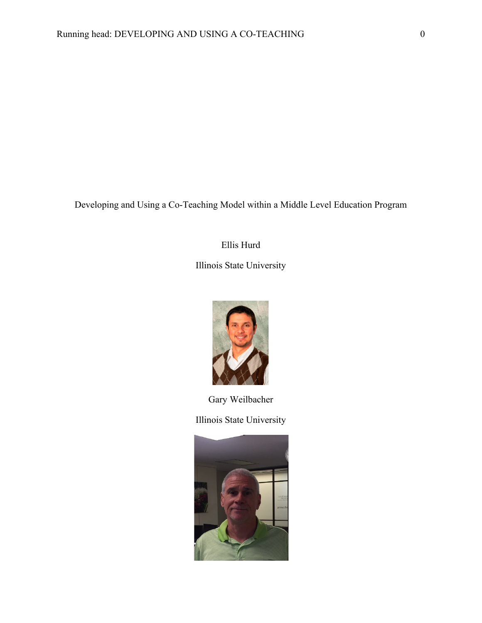Developing and Using a Co-Teaching Model within a Middle Level Education Program

# Ellis Hurd

Illinois State University



Gary Weilbacher Illinois State University

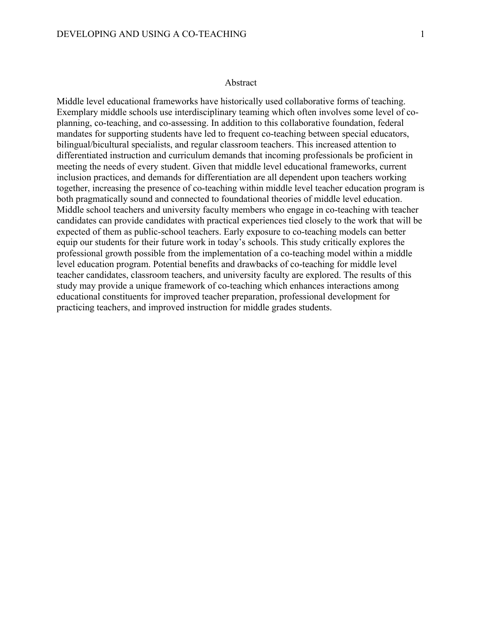#### Abstract

Middle level educational frameworks have historically used collaborative forms of teaching. Exemplary middle schools use interdisciplinary teaming which often involves some level of coplanning, co-teaching, and co-assessing. In addition to this collaborative foundation, federal mandates for supporting students have led to frequent co-teaching between special educators, bilingual/bicultural specialists, and regular classroom teachers. This increased attention to differentiated instruction and curriculum demands that incoming professionals be proficient in meeting the needs of every student. Given that middle level educational frameworks, current inclusion practices, and demands for differentiation are all dependent upon teachers working together, increasing the presence of co-teaching within middle level teacher education program is both pragmatically sound and connected to foundational theories of middle level education. Middle school teachers and university faculty members who engage in co-teaching with teacher candidates can provide candidates with practical experiences tied closely to the work that will be expected of them as public-school teachers. Early exposure to co-teaching models can better equip our students for their future work in today's schools. This study critically explores the professional growth possible from the implementation of a co-teaching model within a middle level education program. Potential benefits and drawbacks of co-teaching for middle level teacher candidates, classroom teachers, and university faculty are explored. The results of this study may provide a unique framework of co-teaching which enhances interactions among educational constituents for improved teacher preparation, professional development for practicing teachers, and improved instruction for middle grades students.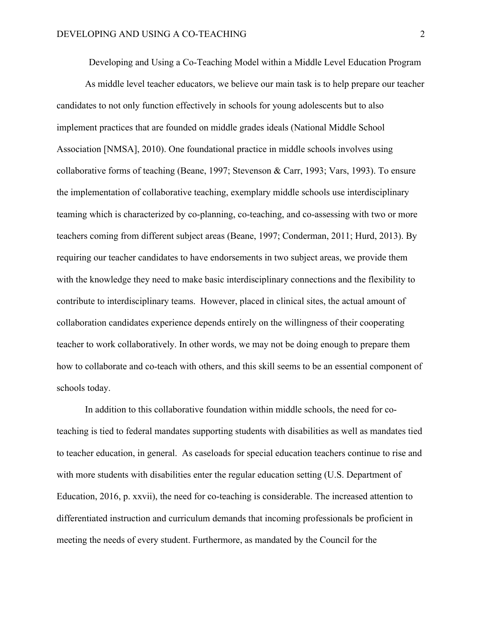Developing and Using a Co-Teaching Model within a Middle Level Education Program

As middle level teacher educators, we believe our main task is to help prepare our teacher candidates to not only function effectively in schools for young adolescents but to also implement practices that are founded on middle grades ideals (National Middle School Association [NMSA], 2010). One foundational practice in middle schools involves using collaborative forms of teaching (Beane, 1997; Stevenson & Carr, 1993; Vars, 1993). To ensure the implementation of collaborative teaching, exemplary middle schools use interdisciplinary teaming which is characterized by co-planning, co-teaching, and co-assessing with two or more teachers coming from different subject areas (Beane, 1997; Conderman, 2011; Hurd, 2013). By requiring our teacher candidates to have endorsements in two subject areas, we provide them with the knowledge they need to make basic interdisciplinary connections and the flexibility to contribute to interdisciplinary teams. However, placed in clinical sites, the actual amount of collaboration candidates experience depends entirely on the willingness of their cooperating teacher to work collaboratively. In other words, we may not be doing enough to prepare them how to collaborate and co-teach with others, and this skill seems to be an essential component of schools today.

In addition to this collaborative foundation within middle schools, the need for coteaching is tied to federal mandates supporting students with disabilities as well as mandates tied to teacher education, in general. As caseloads for special education teachers continue to rise and with more students with disabilities enter the regular education setting (U.S. Department of Education, 2016, p. xxvii), the need for co-teaching is considerable. The increased attention to differentiated instruction and curriculum demands that incoming professionals be proficient in meeting the needs of every student. Furthermore, as mandated by the Council for the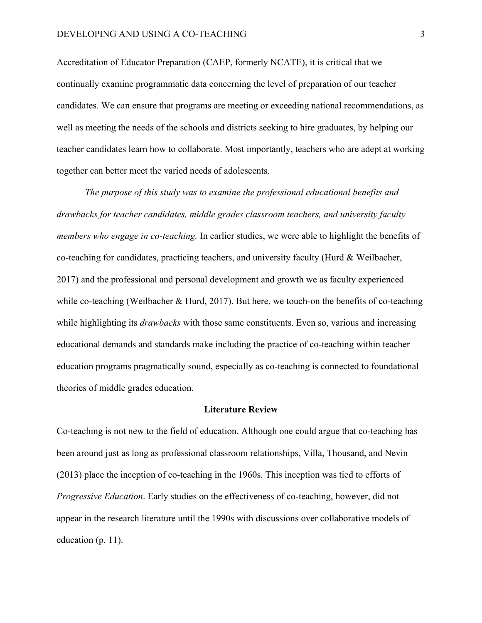Accreditation of Educator Preparation (CAEP, formerly NCATE), it is critical that we continually examine programmatic data concerning the level of preparation of our teacher candidates. We can ensure that programs are meeting or exceeding national recommendations, as well as meeting the needs of the schools and districts seeking to hire graduates, by helping our teacher candidates learn how to collaborate. Most importantly, teachers who are adept at working together can better meet the varied needs of adolescents.

*The purpose of this study was to examine the professional educational benefits and drawbacks for teacher candidates, middle grades classroom teachers, and university faculty members who engage in co-teaching.* In earlier studies, we were able to highlight the benefits of co-teaching for candidates, practicing teachers, and university faculty (Hurd  $\&$  Weilbacher, 2017) and the professional and personal development and growth we as faculty experienced while co-teaching (Weilbacher & Hurd, 2017). But here, we touch-on the benefits of co-teaching while highlighting its *drawbacks* with those same constituents. Even so, various and increasing educational demands and standards make including the practice of co-teaching within teacher education programs pragmatically sound, especially as co-teaching is connected to foundational theories of middle grades education.

#### **Literature Review**

Co-teaching is not new to the field of education. Although one could argue that co-teaching has been around just as long as professional classroom relationships, Villa, Thousand, and Nevin (2013) place the inception of co-teaching in the 1960s. This inception was tied to efforts of *Progressive Education*. Early studies on the effectiveness of co-teaching, however, did not appear in the research literature until the 1990s with discussions over collaborative models of education (p. 11).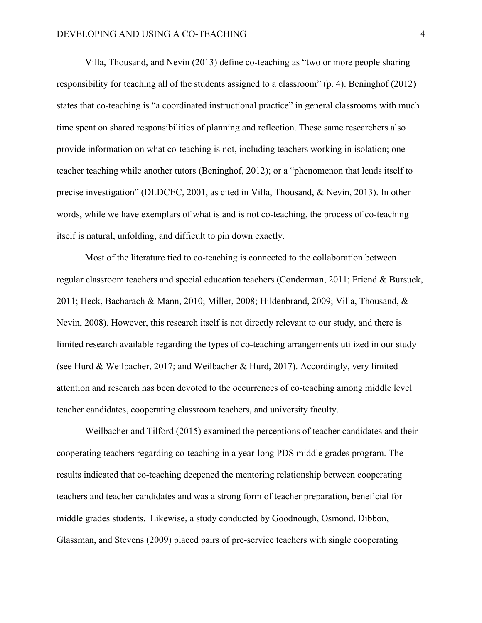Villa, Thousand, and Nevin (2013) define co-teaching as "two or more people sharing responsibility for teaching all of the students assigned to a classroom" (p. 4). Beninghof (2012) states that co-teaching is "a coordinated instructional practice" in general classrooms with much time spent on shared responsibilities of planning and reflection. These same researchers also provide information on what co-teaching is not, including teachers working in isolation; one teacher teaching while another tutors (Beninghof, 2012); or a "phenomenon that lends itself to precise investigation" (DLDCEC, 2001, as cited in Villa, Thousand, & Nevin, 2013). In other words, while we have exemplars of what is and is not co-teaching, the process of co-teaching itself is natural, unfolding, and difficult to pin down exactly.

Most of the literature tied to co-teaching is connected to the collaboration between regular classroom teachers and special education teachers (Conderman, 2011; Friend & Bursuck, 2011; Heck, Bacharach & Mann, 2010; Miller, 2008; Hildenbrand, 2009; Villa, Thousand, & Nevin, 2008). However, this research itself is not directly relevant to our study, and there is limited research available regarding the types of co-teaching arrangements utilized in our study (see Hurd & Weilbacher, 2017; and Weilbacher & Hurd, 2017). Accordingly, very limited attention and research has been devoted to the occurrences of co-teaching among middle level teacher candidates, cooperating classroom teachers, and university faculty.

Weilbacher and Tilford (2015) examined the perceptions of teacher candidates and their cooperating teachers regarding co-teaching in a year-long PDS middle grades program. The results indicated that co-teaching deepened the mentoring relationship between cooperating teachers and teacher candidates and was a strong form of teacher preparation, beneficial for middle grades students. Likewise, a study conducted by Goodnough, Osmond, Dibbon, Glassman, and Stevens (2009) placed pairs of pre-service teachers with single cooperating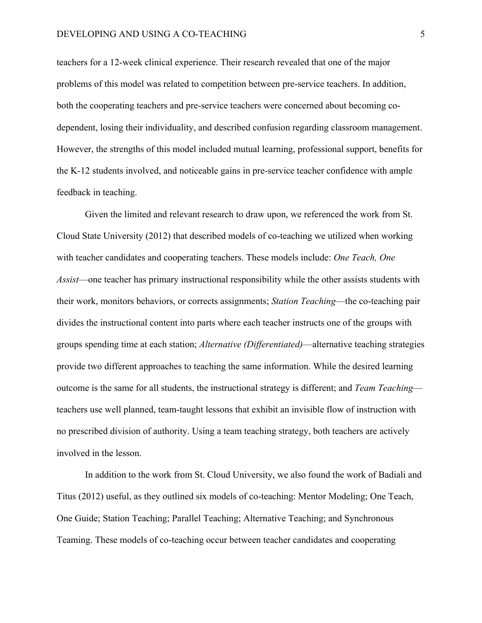## DEVELOPING AND USING A CO-TEACHING 5

teachers for a 12-week clinical experience. Their research revealed that one of the major problems of this model was related to competition between pre-service teachers. In addition, both the cooperating teachers and pre-service teachers were concerned about becoming codependent, losing their individuality, and described confusion regarding classroom management. However, the strengths of this model included mutual learning, professional support, benefits for the K-12 students involved, and noticeable gains in pre-service teacher confidence with ample feedback in teaching.

Given the limited and relevant research to draw upon, we referenced the work from St. Cloud State University (2012) that described models of co-teaching we utilized when working with teacher candidates and cooperating teachers. These models include: *One Teach, One Assist*—one teacher has primary instructional responsibility while the other assists students with their work, monitors behaviors, or corrects assignments; *Station Teaching*—the co-teaching pair divides the instructional content into parts where each teacher instructs one of the groups with groups spending time at each station; *Alternative (Differentiated)*—alternative teaching strategies provide two different approaches to teaching the same information. While the desired learning outcome is the same for all students, the instructional strategy is different; and *Team Teaching* teachers use well planned, team-taught lessons that exhibit an invisible flow of instruction with no prescribed division of authority. Using a team teaching strategy, both teachers are actively involved in the lesson.

In addition to the work from St. Cloud University, we also found the work of Badiali and Titus (2012) useful, as they outlined six models of co-teaching: Mentor Modeling; One Teach, One Guide; Station Teaching; Parallel Teaching; Alternative Teaching; and Synchronous Teaming. These models of co-teaching occur between teacher candidates and cooperating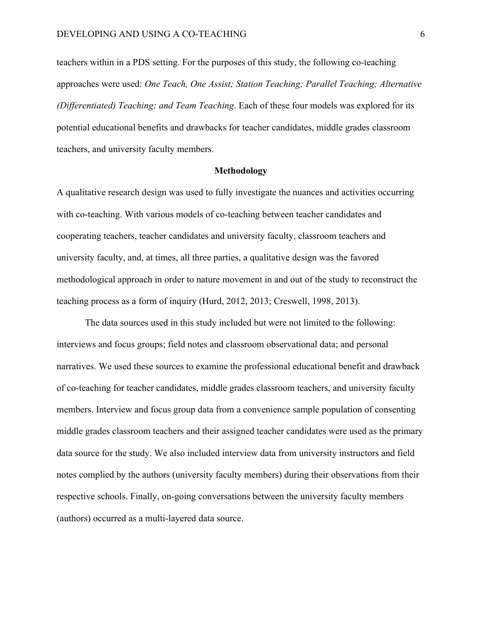teachers within in a PDS setting. For the purposes of this study, the following co-teaching approaches were used: *One Teach, One Assist; Station Teaching; Parallel Teaching; Alternative (Differentiated) Teaching; and Team Teaching*. Each of these four models was explored for its potential educational benefits and drawbacks for teacher candidates, middle grades classroom teachers, and university faculty members.

# **Methodology**

A qualitative research design was used to fully investigate the nuances and activities occurring with co-teaching. With various models of co-teaching between teacher candidates and cooperating teachers, teacher candidates and university faculty, classroom teachers and university faculty, and, at times, all three parties, a qualitative design was the favored methodological approach in order to nature movement in and out of the study to reconstruct the teaching process as a form of inquiry (Hurd, 2012, 2013; Creswell, 1998, 2013).

The data sources used in this study included but were not limited to the following: interviews and focus groups; field notes and classroom observational data; and personal narratives. We used these sources to examine the professional educational benefit and drawback of co-teaching for teacher candidates, middle grades classroom teachers, and university faculty members. Interview and focus group data from a convenience sample population of consenting middle grades classroom teachers and their assigned teacher candidates were used as the primary data source for the study. We also included interview data from university instructors and field notes complied by the authors (university faculty members) during their observations from their respective schools. Finally, on-going conversations between the university faculty members (authors) occurred as a multi-layered data source.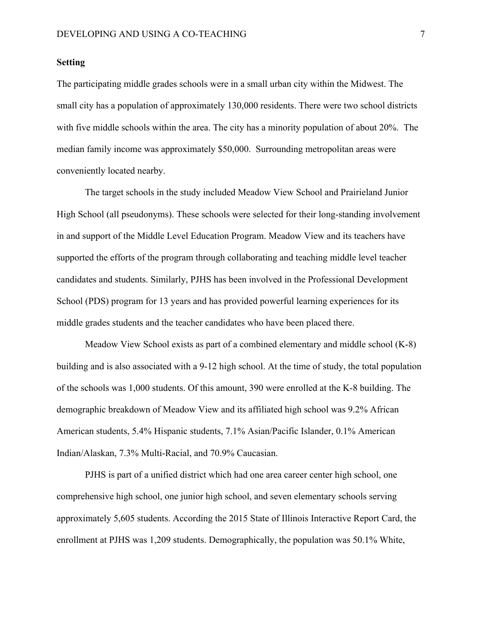# **Setting**

The participating middle grades schools were in a small urban city within the Midwest. The small city has a population of approximately 130,000 residents. There were two school districts with five middle schools within the area. The city has a minority population of about 20%. The median family income was approximately \$50,000. Surrounding metropolitan areas were conveniently located nearby.

The target schools in the study included Meadow View School and Prairieland Junior High School (all pseudonyms). These schools were selected for their long-standing involvement in and support of the Middle Level Education Program. Meadow View and its teachers have supported the efforts of the program through collaborating and teaching middle level teacher candidates and students. Similarly, PJHS has been involved in the Professional Development School (PDS) program for 13 years and has provided powerful learning experiences for its middle grades students and the teacher candidates who have been placed there.

Meadow View School exists as part of a combined elementary and middle school (K-8) building and is also associated with a 9-12 high school. At the time of study, the total population of the schools was 1,000 students. Of this amount, 390 were enrolled at the K-8 building. The demographic breakdown of Meadow View and its affiliated high school was 9.2% African American students, 5.4% Hispanic students, 7.1% Asian/Pacific Islander, 0.1% American Indian/Alaskan, 7.3% Multi-Racial, and 70.9% Caucasian.

PJHS is part of a unified district which had one area career center high school, one comprehensive high school, one junior high school, and seven elementary schools serving approximately 5,605 students. According the 2015 State of Illinois Interactive Report Card, the enrollment at PJHS was 1,209 students. Demographically, the population was 50.1% White,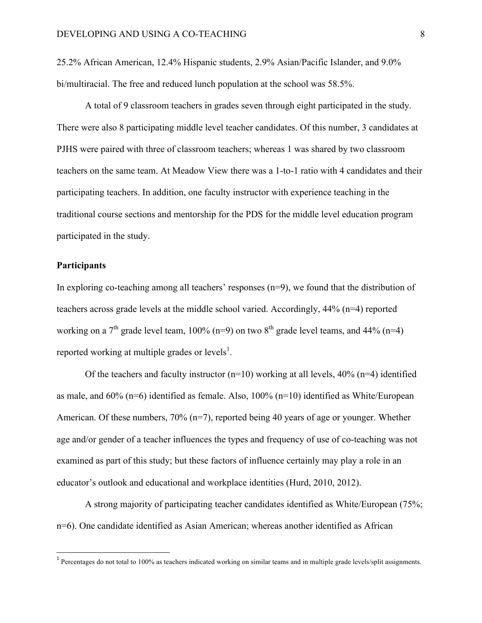25.2% African American, 12.4% Hispanic students, 2.9% Asian/Pacific Islander, and 9.0% bi/multiracial. The free and reduced lunch population at the school was 58.5%.

A total of 9 classroom teachers in grades seven through eight participated in the study. There were also 8 participating middle level teacher candidates. Of this number, 3 candidates at PJHS were paired with three of classroom teachers; whereas 1 was shared by two classroom teachers on the same team. At Meadow View there was a 1-to-1 ratio with 4 candidates and their participating teachers. In addition, one faculty instructor with experience teaching in the traditional course sections and mentorship for the PDS for the middle level education program participated in the study.

# **Participants**

<u> 1989 - Johann Stein, mars et al. 1989 - Anna ann an t-Anna ann an t-Anna ann an t-Anna ann an t-Anna ann an t-</u>

In exploring co-teaching among all teachers' responses (n=9), we found that the distribution of teachers across grade levels at the middle school varied. Accordingly, 44% (n=4) reported working on a  $7<sup>th</sup>$  grade level team, 100% (n=9) on two  $8<sup>th</sup>$  grade level teams, and 44% (n=4) reported working at multiple grades or levels<sup>1</sup>.

Of the teachers and faculty instructor  $(n=10)$  working at all levels, 40%  $(n=4)$  identified as male, and  $60\%$  (n=6) identified as female. Also,  $100\%$  (n=10) identified as White/European American. Of these numbers, 70% (n=7), reported being 40 years of age or younger. Whether age and/or gender of a teacher influences the types and frequency of use of co-teaching was not examined as part of this study; but these factors of influence certainly may play a role in an educator's outlook and educational and workplace identities (Hurd, 2010, 2012).

A strong majority of participating teacher candidates identified as White/European (75%; n=6). One candidate identified as Asian American; whereas another identified as African

<sup>&</sup>lt;sup>1</sup> Percentages do not total to 100% as teachers indicated working on similar teams and in multiple grade levels/split assignments.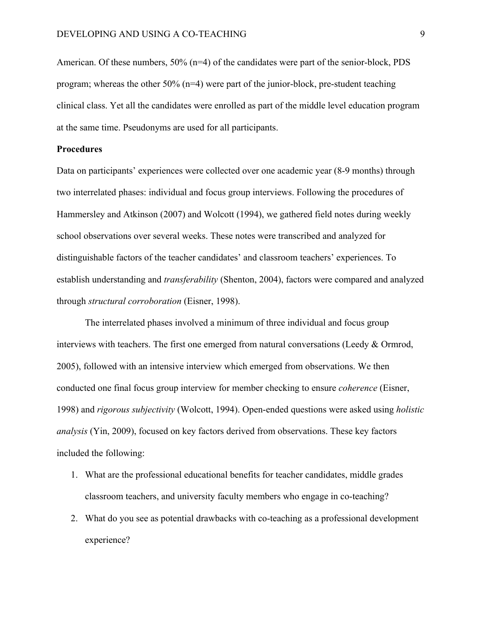American. Of these numbers,  $50\%$  (n=4) of the candidates were part of the senior-block, PDS program; whereas the other 50% (n=4) were part of the junior-block, pre-student teaching clinical class. Yet all the candidates were enrolled as part of the middle level education program at the same time. Pseudonyms are used for all participants.

# **Procedures**

Data on participants' experiences were collected over one academic year (8-9 months) through two interrelated phases: individual and focus group interviews. Following the procedures of Hammersley and Atkinson (2007) and Wolcott (1994), we gathered field notes during weekly school observations over several weeks. These notes were transcribed and analyzed for distinguishable factors of the teacher candidates' and classroom teachers' experiences. To establish understanding and *transferability* (Shenton, 2004), factors were compared and analyzed through *structural corroboration* (Eisner, 1998).

The interrelated phases involved a minimum of three individual and focus group interviews with teachers. The first one emerged from natural conversations (Leedy & Ormrod, 2005), followed with an intensive interview which emerged from observations. We then conducted one final focus group interview for member checking to ensure *coherence* (Eisner, 1998) and *rigorous subjectivity* (Wolcott, 1994). Open-ended questions were asked using *holistic analysis* (Yin, 2009), focused on key factors derived from observations. These key factors included the following:

- 1. What are the professional educational benefits for teacher candidates, middle grades classroom teachers, and university faculty members who engage in co-teaching?
- 2. What do you see as potential drawbacks with co-teaching as a professional development experience?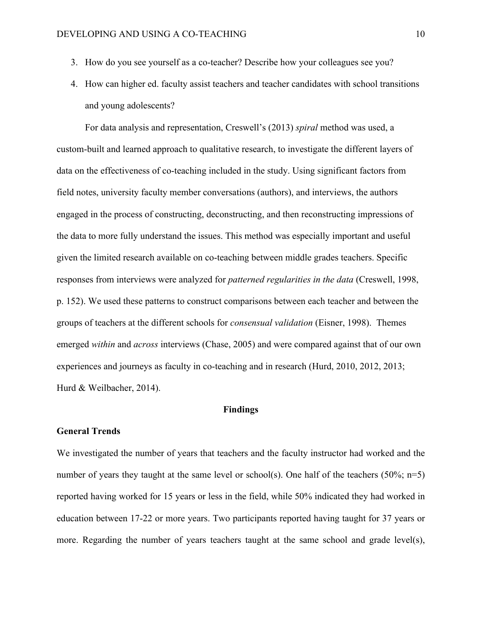- 3. How do you see yourself as a co-teacher? Describe how your colleagues see you?
- 4. How can higher ed. faculty assist teachers and teacher candidates with school transitions and young adolescents?

For data analysis and representation, Creswell's (2013) *spiral* method was used, a custom-built and learned approach to qualitative research, to investigate the different layers of data on the effectiveness of co-teaching included in the study. Using significant factors from field notes, university faculty member conversations (authors), and interviews, the authors engaged in the process of constructing, deconstructing, and then reconstructing impressions of the data to more fully understand the issues. This method was especially important and useful given the limited research available on co-teaching between middle grades teachers. Specific responses from interviews were analyzed for *patterned regularities in the data* (Creswell, 1998, p. 152). We used these patterns to construct comparisons between each teacher and between the groups of teachers at the different schools for *consensual validation* (Eisner, 1998). Themes emerged *within* and *across* interviews (Chase, 2005) and were compared against that of our own experiences and journeys as faculty in co-teaching and in research (Hurd, 2010, 2012, 2013; Hurd & Weilbacher, 2014).

# **Findings**

# **General Trends**

We investigated the number of years that teachers and the faculty instructor had worked and the number of years they taught at the same level or school(s). One half of the teachers  $(50\%; n=5)$ reported having worked for 15 years or less in the field, while 50% indicated they had worked in education between 17-22 or more years. Two participants reported having taught for 37 years or more. Regarding the number of years teachers taught at the same school and grade level(s),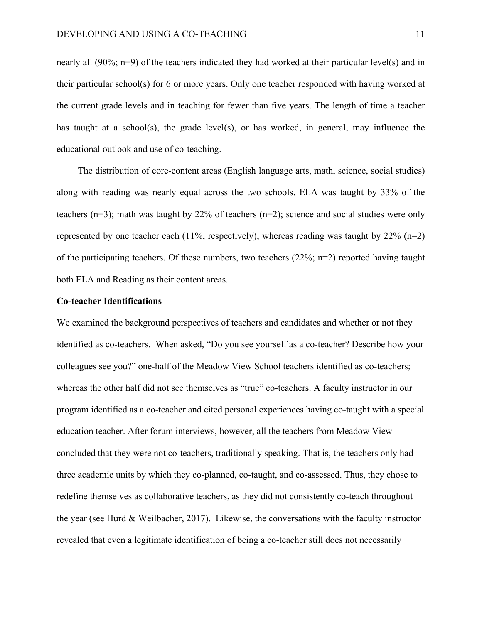nearly all (90%; n=9) of the teachers indicated they had worked at their particular level(s) and in their particular school(s) for 6 or more years. Only one teacher responded with having worked at the current grade levels and in teaching for fewer than five years. The length of time a teacher has taught at a school(s), the grade level(s), or has worked, in general, may influence the educational outlook and use of co-teaching.

The distribution of core-content areas (English language arts, math, science, social studies) along with reading was nearly equal across the two schools. ELA was taught by 33% of the teachers (n=3); math was taught by 22% of teachers (n=2); science and social studies were only represented by one teacher each  $(11\%$ , respectively); whereas reading was taught by  $22\%$  (n=2) of the participating teachers. Of these numbers, two teachers  $(22\%; n=2)$  reported having taught both ELA and Reading as their content areas.

## **Co-teacher Identifications**

We examined the background perspectives of teachers and candidates and whether or not they identified as co-teachers. When asked, "Do you see yourself as a co-teacher? Describe how your colleagues see you?" one-half of the Meadow View School teachers identified as co-teachers; whereas the other half did not see themselves as "true" co-teachers. A faculty instructor in our program identified as a co-teacher and cited personal experiences having co-taught with a special education teacher. After forum interviews, however, all the teachers from Meadow View concluded that they were not co-teachers, traditionally speaking. That is, the teachers only had three academic units by which they co-planned, co-taught, and co-assessed. Thus, they chose to redefine themselves as collaborative teachers, as they did not consistently co-teach throughout the year (see Hurd & Weilbacher, 2017). Likewise, the conversations with the faculty instructor revealed that even a legitimate identification of being a co-teacher still does not necessarily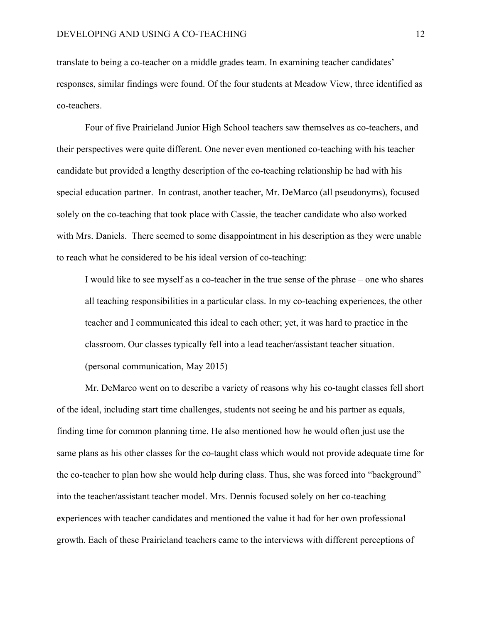translate to being a co-teacher on a middle grades team. In examining teacher candidates' responses, similar findings were found. Of the four students at Meadow View, three identified as co-teachers.

Four of five Prairieland Junior High School teachers saw themselves as co-teachers, and their perspectives were quite different. One never even mentioned co-teaching with his teacher candidate but provided a lengthy description of the co-teaching relationship he had with his special education partner. In contrast, another teacher, Mr. DeMarco (all pseudonyms), focused solely on the co-teaching that took place with Cassie, the teacher candidate who also worked with Mrs. Daniels. There seemed to some disappointment in his description as they were unable to reach what he considered to be his ideal version of co-teaching:

I would like to see myself as a co-teacher in the true sense of the phrase – one who shares all teaching responsibilities in a particular class. In my co-teaching experiences, the other teacher and I communicated this ideal to each other; yet, it was hard to practice in the classroom. Our classes typically fell into a lead teacher/assistant teacher situation. (personal communication, May 2015)

Mr. DeMarco went on to describe a variety of reasons why his co-taught classes fell short of the ideal, including start time challenges, students not seeing he and his partner as equals, finding time for common planning time. He also mentioned how he would often just use the same plans as his other classes for the co-taught class which would not provide adequate time for the co-teacher to plan how she would help during class. Thus, she was forced into "background" into the teacher/assistant teacher model. Mrs. Dennis focused solely on her co-teaching experiences with teacher candidates and mentioned the value it had for her own professional growth. Each of these Prairieland teachers came to the interviews with different perceptions of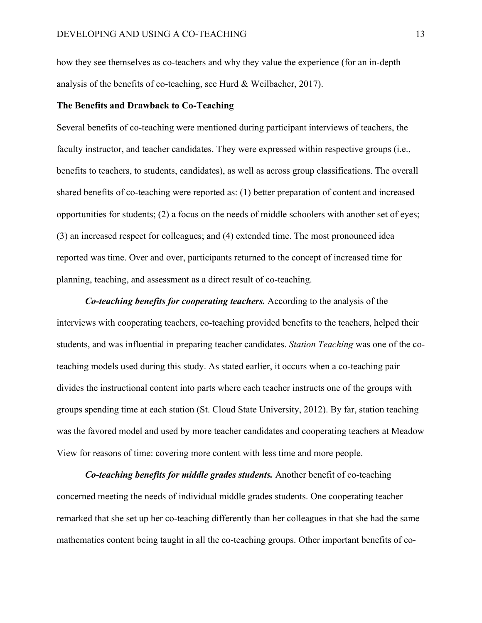how they see themselves as co-teachers and why they value the experience (for an in-depth analysis of the benefits of co-teaching, see Hurd & Weilbacher, 2017).

# **The Benefits and Drawback to Co-Teaching**

Several benefits of co-teaching were mentioned during participant interviews of teachers, the faculty instructor, and teacher candidates. They were expressed within respective groups (i.e., benefits to teachers, to students, candidates), as well as across group classifications. The overall shared benefits of co-teaching were reported as: (1) better preparation of content and increased opportunities for students; (2) a focus on the needs of middle schoolers with another set of eyes; (3) an increased respect for colleagues; and (4) extended time. The most pronounced idea reported was time. Over and over, participants returned to the concept of increased time for planning, teaching, and assessment as a direct result of co-teaching.

*Co-teaching benefits for cooperating teachers.* According to the analysis of the interviews with cooperating teachers, co-teaching provided benefits to the teachers, helped their students, and was influential in preparing teacher candidates. *Station Teaching* was one of the coteaching models used during this study. As stated earlier, it occurs when a co-teaching pair divides the instructional content into parts where each teacher instructs one of the groups with groups spending time at each station (St. Cloud State University, 2012). By far, station teaching was the favored model and used by more teacher candidates and cooperating teachers at Meadow View for reasons of time: covering more content with less time and more people.

*Co-teaching benefits for middle grades students.* Another benefit of co-teaching concerned meeting the needs of individual middle grades students. One cooperating teacher remarked that she set up her co-teaching differently than her colleagues in that she had the same mathematics content being taught in all the co-teaching groups. Other important benefits of co-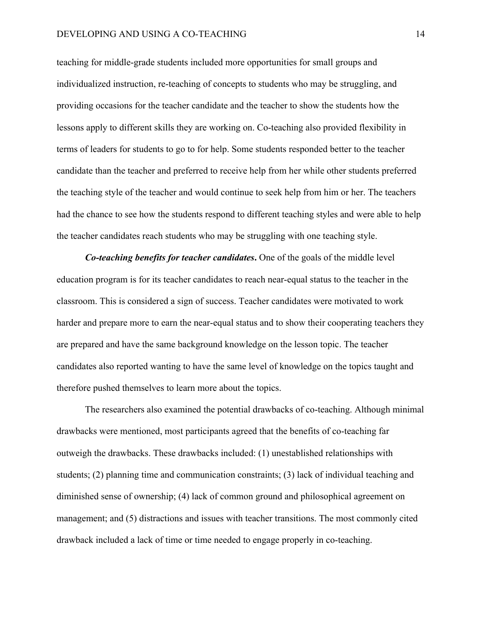## DEVELOPING AND USING A CO-TEACHING 14

teaching for middle-grade students included more opportunities for small groups and individualized instruction, re-teaching of concepts to students who may be struggling, and providing occasions for the teacher candidate and the teacher to show the students how the lessons apply to different skills they are working on. Co-teaching also provided flexibility in terms of leaders for students to go to for help. Some students responded better to the teacher candidate than the teacher and preferred to receive help from her while other students preferred the teaching style of the teacher and would continue to seek help from him or her. The teachers had the chance to see how the students respond to different teaching styles and were able to help the teacher candidates reach students who may be struggling with one teaching style.

*Co-teaching benefits for teacher candidates***.** One of the goals of the middle level education program is for its teacher candidates to reach near-equal status to the teacher in the classroom. This is considered a sign of success. Teacher candidates were motivated to work harder and prepare more to earn the near-equal status and to show their cooperating teachers they are prepared and have the same background knowledge on the lesson topic. The teacher candidates also reported wanting to have the same level of knowledge on the topics taught and therefore pushed themselves to learn more about the topics.

The researchers also examined the potential drawbacks of co-teaching. Although minimal drawbacks were mentioned, most participants agreed that the benefits of co-teaching far outweigh the drawbacks. These drawbacks included: (1) unestablished relationships with students; (2) planning time and communication constraints; (3) lack of individual teaching and diminished sense of ownership; (4) lack of common ground and philosophical agreement on management; and (5) distractions and issues with teacher transitions. The most commonly cited drawback included a lack of time or time needed to engage properly in co-teaching.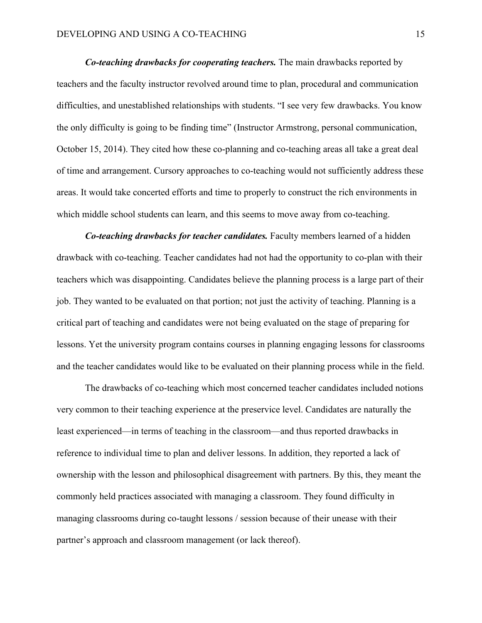*Co-teaching drawbacks for cooperating teachers.* The main drawbacks reported by teachers and the faculty instructor revolved around time to plan, procedural and communication difficulties, and unestablished relationships with students. "I see very few drawbacks. You know the only difficulty is going to be finding time" (Instructor Armstrong, personal communication, October 15, 2014). They cited how these co-planning and co-teaching areas all take a great deal of time and arrangement. Cursory approaches to co-teaching would not sufficiently address these areas. It would take concerted efforts and time to properly to construct the rich environments in which middle school students can learn, and this seems to move away from co-teaching.

*Co-teaching drawbacks for teacher candidates.* Faculty members learned of a hidden drawback with co-teaching. Teacher candidates had not had the opportunity to co-plan with their teachers which was disappointing. Candidates believe the planning process is a large part of their job. They wanted to be evaluated on that portion; not just the activity of teaching. Planning is a critical part of teaching and candidates were not being evaluated on the stage of preparing for lessons. Yet the university program contains courses in planning engaging lessons for classrooms and the teacher candidates would like to be evaluated on their planning process while in the field.

The drawbacks of co-teaching which most concerned teacher candidates included notions very common to their teaching experience at the preservice level. Candidates are naturally the least experienced—in terms of teaching in the classroom—and thus reported drawbacks in reference to individual time to plan and deliver lessons. In addition, they reported a lack of ownership with the lesson and philosophical disagreement with partners. By this, they meant the commonly held practices associated with managing a classroom. They found difficulty in managing classrooms during co-taught lessons / session because of their unease with their partner's approach and classroom management (or lack thereof).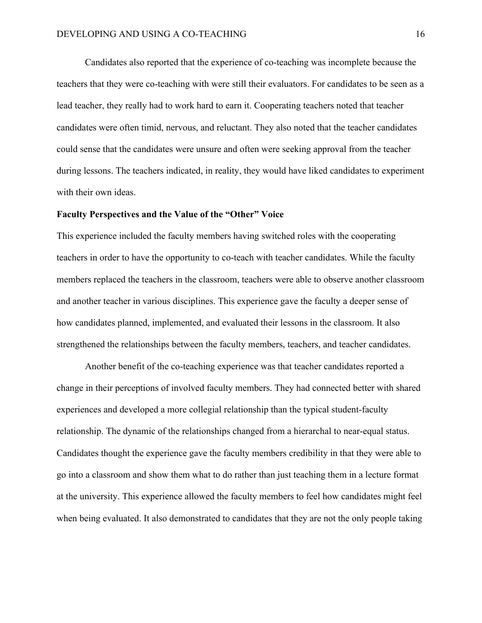Candidates also reported that the experience of co-teaching was incomplete because the teachers that they were co-teaching with were still their evaluators. For candidates to be seen as a lead teacher, they really had to work hard to earn it. Cooperating teachers noted that teacher candidates were often timid, nervous, and reluctant. They also noted that the teacher candidates could sense that the candidates were unsure and often were seeking approval from the teacher during lessons. The teachers indicated, in reality, they would have liked candidates to experiment with their own ideas.

## **Faculty Perspectives and the Value of the "Other" Voice**

This experience included the faculty members having switched roles with the cooperating teachers in order to have the opportunity to co-teach with teacher candidates. While the faculty members replaced the teachers in the classroom, teachers were able to observe another classroom and another teacher in various disciplines. This experience gave the faculty a deeper sense of how candidates planned, implemented, and evaluated their lessons in the classroom. It also strengthened the relationships between the faculty members, teachers, and teacher candidates.

Another benefit of the co-teaching experience was that teacher candidates reported a change in their perceptions of involved faculty members. They had connected better with shared experiences and developed a more collegial relationship than the typical student-faculty relationship. The dynamic of the relationships changed from a hierarchal to near-equal status. Candidates thought the experience gave the faculty members credibility in that they were able to go into a classroom and show them what to do rather than just teaching them in a lecture format at the university. This experience allowed the faculty members to feel how candidates might feel when being evaluated. It also demonstrated to candidates that they are not the only people taking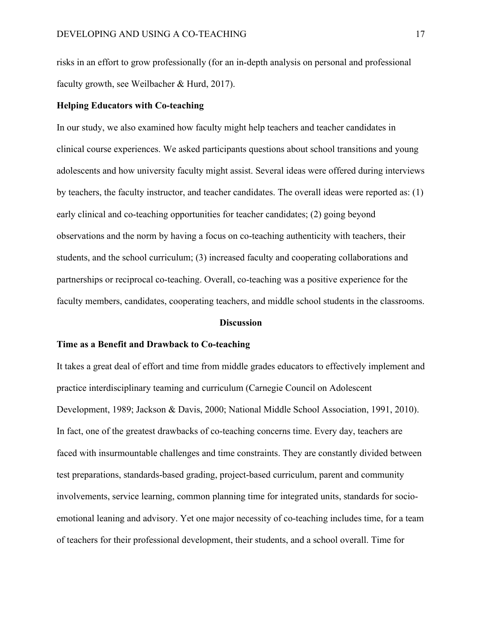risks in an effort to grow professionally (for an in-depth analysis on personal and professional faculty growth, see Weilbacher & Hurd, 2017).

# **Helping Educators with Co-teaching**

In our study, we also examined how faculty might help teachers and teacher candidates in clinical course experiences. We asked participants questions about school transitions and young adolescents and how university faculty might assist. Several ideas were offered during interviews by teachers, the faculty instructor, and teacher candidates. The overall ideas were reported as: (1) early clinical and co-teaching opportunities for teacher candidates; (2) going beyond observations and the norm by having a focus on co-teaching authenticity with teachers, their students, and the school curriculum; (3) increased faculty and cooperating collaborations and partnerships or reciprocal co-teaching. Overall, co-teaching was a positive experience for the faculty members, candidates, cooperating teachers, and middle school students in the classrooms.

#### **Discussion**

## **Time as a Benefit and Drawback to Co-teaching**

It takes a great deal of effort and time from middle grades educators to effectively implement and practice interdisciplinary teaming and curriculum (Carnegie Council on Adolescent Development, 1989; Jackson & Davis, 2000; National Middle School Association, 1991, 2010). In fact, one of the greatest drawbacks of co-teaching concerns time. Every day, teachers are faced with insurmountable challenges and time constraints. They are constantly divided between test preparations, standards-based grading, project-based curriculum, parent and community involvements, service learning, common planning time for integrated units, standards for socioemotional leaning and advisory. Yet one major necessity of co-teaching includes time, for a team of teachers for their professional development, their students, and a school overall. Time for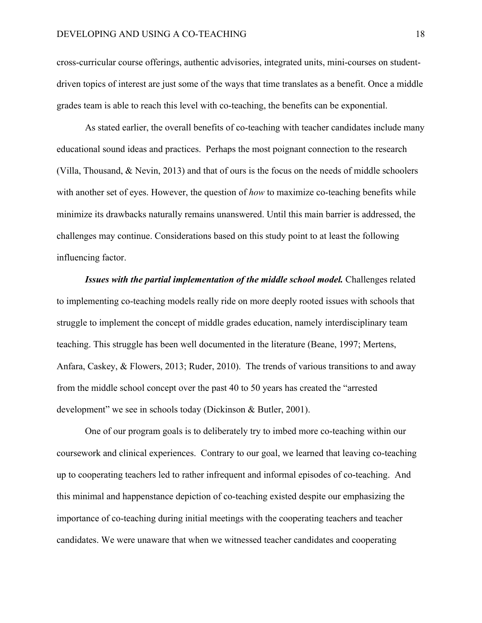cross-curricular course offerings, authentic advisories, integrated units, mini-courses on studentdriven topics of interest are just some of the ways that time translates as a benefit. Once a middle grades team is able to reach this level with co-teaching, the benefits can be exponential.

As stated earlier, the overall benefits of co-teaching with teacher candidates include many educational sound ideas and practices. Perhaps the most poignant connection to the research (Villa, Thousand, & Nevin, 2013) and that of ours is the focus on the needs of middle schoolers with another set of eyes. However, the question of *how* to maximize co-teaching benefits while minimize its drawbacks naturally remains unanswered. Until this main barrier is addressed, the challenges may continue. Considerations based on this study point to at least the following influencing factor.

*Issues with the partial implementation of the middle school model.* Challenges related to implementing co-teaching models really ride on more deeply rooted issues with schools that struggle to implement the concept of middle grades education, namely interdisciplinary team teaching. This struggle has been well documented in the literature (Beane, 1997; Mertens, Anfara, Caskey, & Flowers, 2013; Ruder, 2010). The trends of various transitions to and away from the middle school concept over the past 40 to 50 years has created the "arrested development" we see in schools today (Dickinson & Butler, 2001).

One of our program goals is to deliberately try to imbed more co-teaching within our coursework and clinical experiences. Contrary to our goal, we learned that leaving co-teaching up to cooperating teachers led to rather infrequent and informal episodes of co-teaching. And this minimal and happenstance depiction of co-teaching existed despite our emphasizing the importance of co-teaching during initial meetings with the cooperating teachers and teacher candidates. We were unaware that when we witnessed teacher candidates and cooperating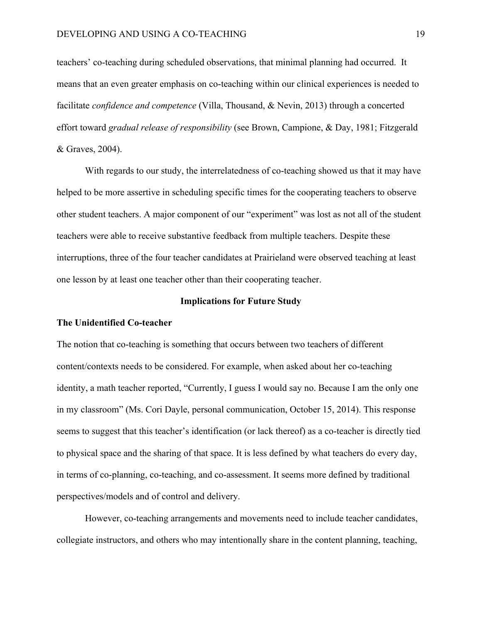teachers' co-teaching during scheduled observations, that minimal planning had occurred. It means that an even greater emphasis on co-teaching within our clinical experiences is needed to facilitate *confidence and competence* (Villa, Thousand, & Nevin, 2013) through a concerted effort toward *gradual release of responsibility* (see Brown, Campione, & Day, 1981; Fitzgerald & Graves, 2004).

With regards to our study, the interrelatedness of co-teaching showed us that it may have helped to be more assertive in scheduling specific times for the cooperating teachers to observe other student teachers. A major component of our "experiment" was lost as not all of the student teachers were able to receive substantive feedback from multiple teachers. Despite these interruptions, three of the four teacher candidates at Prairieland were observed teaching at least one lesson by at least one teacher other than their cooperating teacher.

## **Implications for Future Study**

#### **The Unidentified Co-teacher**

The notion that co-teaching is something that occurs between two teachers of different content/contexts needs to be considered. For example, when asked about her co-teaching identity, a math teacher reported, "Currently, I guess I would say no. Because I am the only one in my classroom" (Ms. Cori Dayle, personal communication, October 15, 2014). This response seems to suggest that this teacher's identification (or lack thereof) as a co-teacher is directly tied to physical space and the sharing of that space. It is less defined by what teachers do every day, in terms of co-planning, co-teaching, and co-assessment. It seems more defined by traditional perspectives/models and of control and delivery.

However, co-teaching arrangements and movements need to include teacher candidates, collegiate instructors, and others who may intentionally share in the content planning, teaching,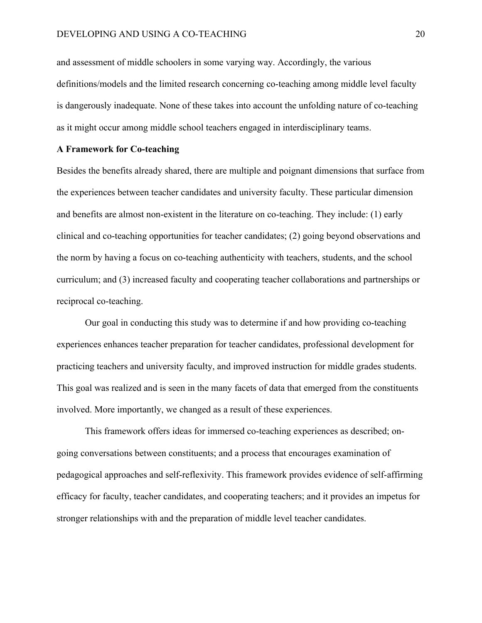and assessment of middle schoolers in some varying way. Accordingly, the various definitions/models and the limited research concerning co-teaching among middle level faculty is dangerously inadequate. None of these takes into account the unfolding nature of co-teaching as it might occur among middle school teachers engaged in interdisciplinary teams.

# **A Framework for Co-teaching**

Besides the benefits already shared, there are multiple and poignant dimensions that surface from the experiences between teacher candidates and university faculty. These particular dimension and benefits are almost non-existent in the literature on co-teaching. They include: (1) early clinical and co-teaching opportunities for teacher candidates; (2) going beyond observations and the norm by having a focus on co-teaching authenticity with teachers, students, and the school curriculum; and (3) increased faculty and cooperating teacher collaborations and partnerships or reciprocal co-teaching.

Our goal in conducting this study was to determine if and how providing co-teaching experiences enhances teacher preparation for teacher candidates, professional development for practicing teachers and university faculty, and improved instruction for middle grades students. This goal was realized and is seen in the many facets of data that emerged from the constituents involved. More importantly, we changed as a result of these experiences.

This framework offers ideas for immersed co-teaching experiences as described; ongoing conversations between constituents; and a process that encourages examination of pedagogical approaches and self-reflexivity. This framework provides evidence of self-affirming efficacy for faculty, teacher candidates, and cooperating teachers; and it provides an impetus for stronger relationships with and the preparation of middle level teacher candidates.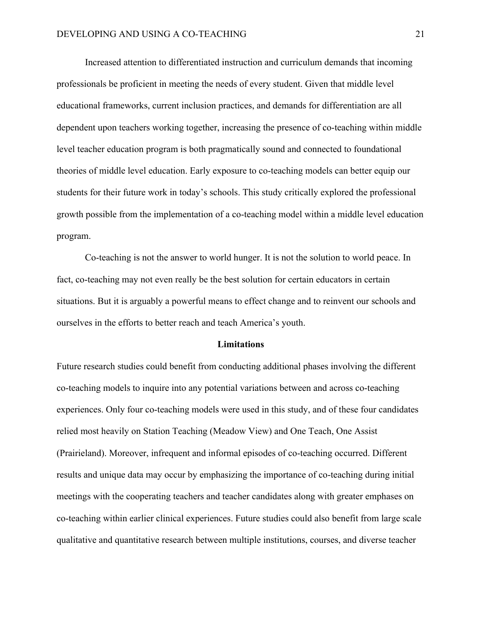Increased attention to differentiated instruction and curriculum demands that incoming professionals be proficient in meeting the needs of every student. Given that middle level educational frameworks, current inclusion practices, and demands for differentiation are all dependent upon teachers working together, increasing the presence of co-teaching within middle level teacher education program is both pragmatically sound and connected to foundational theories of middle level education. Early exposure to co-teaching models can better equip our students for their future work in today's schools. This study critically explored the professional growth possible from the implementation of a co-teaching model within a middle level education program.

Co-teaching is not the answer to world hunger. It is not the solution to world peace. In fact, co-teaching may not even really be the best solution for certain educators in certain situations. But it is arguably a powerful means to effect change and to reinvent our schools and ourselves in the efforts to better reach and teach America's youth.

#### **Limitations**

Future research studies could benefit from conducting additional phases involving the different co-teaching models to inquire into any potential variations between and across co-teaching experiences. Only four co-teaching models were used in this study, and of these four candidates relied most heavily on Station Teaching (Meadow View) and One Teach, One Assist (Prairieland). Moreover, infrequent and informal episodes of co-teaching occurred. Different results and unique data may occur by emphasizing the importance of co-teaching during initial meetings with the cooperating teachers and teacher candidates along with greater emphases on co-teaching within earlier clinical experiences. Future studies could also benefit from large scale qualitative and quantitative research between multiple institutions, courses, and diverse teacher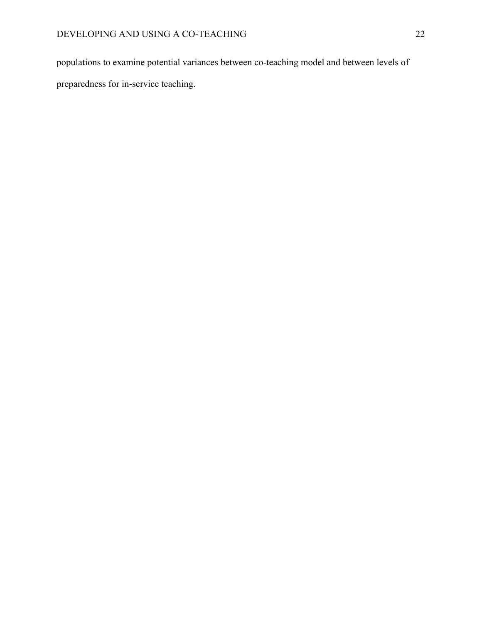populations to examine potential variances between co-teaching model and between levels of

preparedness for in-service teaching.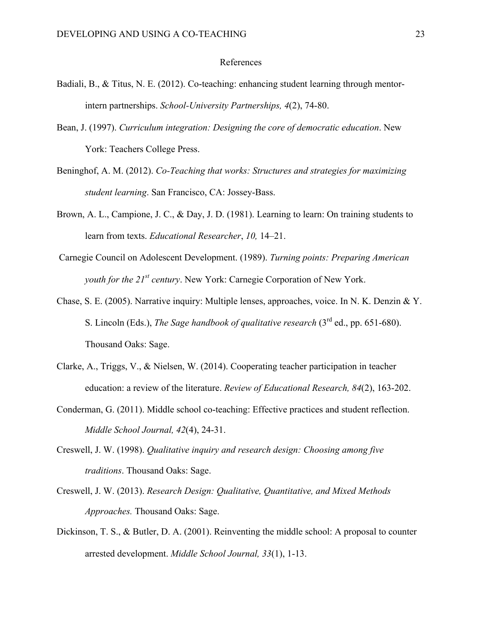## References

- Badiali, B., & Titus, N. E. (2012). Co-teaching: enhancing student learning through mentorintern partnerships. *School-University Partnerships, 4*(2), 74-80.
- Bean, J. (1997). *Curriculum integration: Designing the core of democratic education*. New York: Teachers College Press.
- Beninghof, A. M. (2012). *Co-Teaching that works: Structures and strategies for maximizing student learning*. San Francisco, CA: Jossey-Bass.
- Brown, A. L., Campione, J. C., & Day, J. D. (1981). Learning to learn: On training students to learn from texts. *Educational Researcher*, *10,* 14–21.
- Carnegie Council on Adolescent Development. (1989). *Turning points: Preparing American youth for the 21st century*. New York: Carnegie Corporation of New York.
- Chase, S. E. (2005). Narrative inquiry: Multiple lenses, approaches, voice. In N. K. Denzin & Y. S. Lincoln (Eds.), *The Sage handbook of qualitative research* (3rd ed., pp. 651-680). Thousand Oaks: Sage.
- Clarke, A., Triggs, V., & Nielsen, W. (2014). Cooperating teacher participation in teacher education: a review of the literature. *Review of Educational Research, 84*(2), 163-202.
- Conderman, G. (2011). Middle school co-teaching: Effective practices and student reflection. *Middle School Journal, 42*(4), 24-31.
- Creswell, J. W. (1998). *Qualitative inquiry and research design: Choosing among five traditions*. Thousand Oaks: Sage.
- Creswell, J. W. (2013). *Research Design: Qualitative, Quantitative, and Mixed Methods Approaches.* Thousand Oaks: Sage.
- Dickinson, T. S., & Butler, D. A. (2001). Reinventing the middle school: A proposal to counter arrested development. *Middle School Journal, 33*(1), 1-13.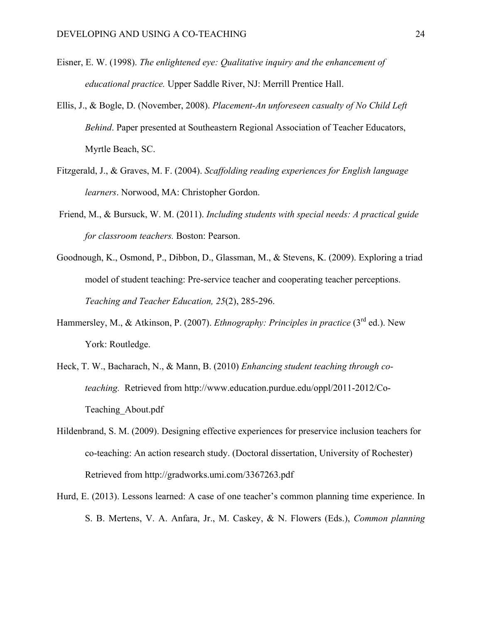- Eisner, E. W. (1998). *The enlightened eye: Qualitative inquiry and the enhancement of educational practice.* Upper Saddle River, NJ: Merrill Prentice Hall.
- Ellis, J., & Bogle, D. (November, 2008). *Placement-An unforeseen casualty of No Child Left Behind*. Paper presented at Southeastern Regional Association of Teacher Educators, Myrtle Beach, SC.
- Fitzgerald, J., & Graves, M. F. (2004). *Scaffolding reading experiences for English language learners*. Norwood, MA: Christopher Gordon.
- Friend, M., & Bursuck, W. M. (2011). *Including students with special needs: A practical guide for classroom teachers.* Boston: Pearson.
- Goodnough, K., Osmond, P., Dibbon, D., Glassman, M., & Stevens, K. (2009). Exploring a triad model of student teaching: Pre-service teacher and cooperating teacher perceptions. *Teaching and Teacher Education, 25*(2), 285-296.
- Hammersley, M., & Atkinson, P. (2007). *Ethnography: Principles in practice* (3<sup>rd</sup> ed.). New York: Routledge.
- Heck, T. W., Bacharach, N., & Mann, B. (2010) *Enhancing student teaching through coteaching.* Retrieved from http://www.education.purdue.edu/oppl/2011-2012/Co-Teaching\_About.pdf
- Hildenbrand, S. M. (2009). Designing effective experiences for preservice inclusion teachers for co-teaching: An action research study. (Doctoral dissertation, University of Rochester) Retrieved from http://gradworks.umi.com/3367263.pdf
- Hurd, E. (2013). Lessons learned: A case of one teacher's common planning time experience. In S. B. Mertens, V. A. Anfara, Jr., M. Caskey, & N. Flowers (Eds.), *Common planning*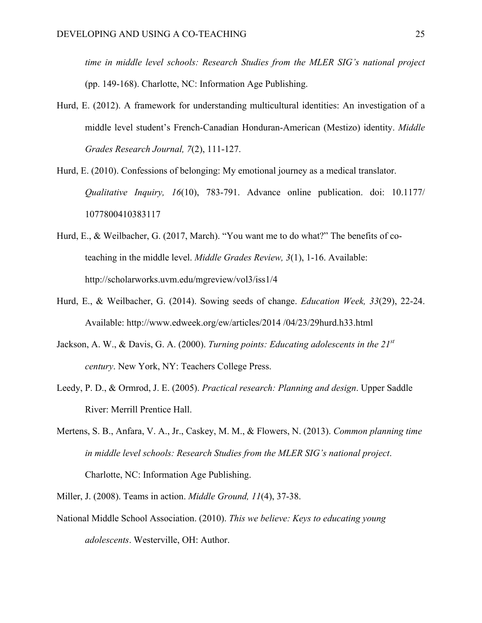*time in middle level schools: Research Studies from the MLER SIG's national project*  (pp. 149-168). Charlotte, NC: Information Age Publishing.

- Hurd, E. (2012). A framework for understanding multicultural identities: An investigation of a middle level student's French-Canadian Honduran-American (Mestizo) identity. *Middle Grades Research Journal, 7*(2), 111-127.
- Hurd, E. (2010). Confessions of belonging: My emotional journey as a medical translator. *Qualitative Inquiry, 16*(10), 783-791. Advance online publication. doi: 10.1177/ 1077800410383117
- Hurd, E., & Weilbacher, G. (2017, March). "You want me to do what?" The benefits of coteaching in the middle level. *Middle Grades Review, 3*(1), 1-16. Available: http://scholarworks.uvm.edu/mgreview/vol3/iss1/4
- Hurd, E., & Weilbacher, G. (2014). Sowing seeds of change. *Education Week, 33*(29), 22-24. Available: http://www.edweek.org/ew/articles/2014 /04/23/29hurd.h33.html
- Jackson, A. W., & Davis, G. A. (2000). *Turning points: Educating adolescents in the 21st century*. New York, NY: Teachers College Press.
- Leedy, P. D., & Ormrod, J. E. (2005). *Practical research: Planning and design*. Upper Saddle River: Merrill Prentice Hall.
- Mertens, S. B., Anfara, V. A., Jr., Caskey, M. M., & Flowers, N. (2013). *Common planning time in middle level schools: Research Studies from the MLER SIG's national project*. Charlotte, NC: Information Age Publishing.
- Miller, J. (2008). Teams in action. *Middle Ground, 11*(4), 37-38.
- National Middle School Association. (2010). *This we believe: Keys to educating young adolescents*. Westerville, OH: Author.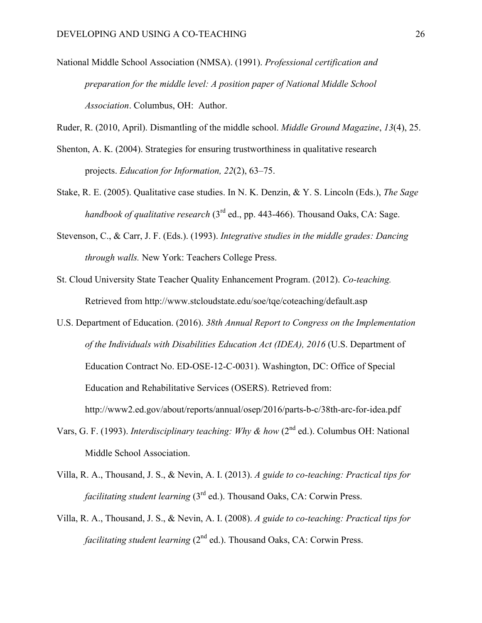- National Middle School Association (NMSA). (1991). *Professional certification and preparation for the middle level: A position paper of National Middle School Association*. Columbus, OH: Author.
- Ruder, R. (2010, April). Dismantling of the middle school. *Middle Ground Magazine*, *13*(4), 25.
- Shenton, A. K. (2004). Strategies for ensuring trustworthiness in qualitative research projects. *Education for Information, 22*(2), 63–75.
- Stake, R. E. (2005). Qualitative case studies. In N. K. Denzin, & Y. S. Lincoln (Eds.), *The Sage handbook of qualitative research* (3rd ed., pp. 443-466). Thousand Oaks, CA: Sage.
- Stevenson, C., & Carr, J. F. (Eds.). (1993). *Integrative studies in the middle grades: Dancing through walls.* New York: Teachers College Press.
- St. Cloud University State Teacher Quality Enhancement Program. (2012). *Co-teaching.* Retrieved from http://www.stcloudstate.edu/soe/tqe/coteaching/default.asp
- U.S. Department of Education. (2016). *38th Annual Report to Congress on the Implementation of the Individuals with Disabilities Education Act (IDEA), 2016* (U.S. Department of Education Contract No. ED-OSE-12-C-0031). Washington, DC: Office of Special Education and Rehabilitative Services (OSERS). Retrieved from: http://www2.ed.gov/about/reports/annual/osep/2016/parts-b-c/38th-arc-for-idea.pdf
- Vars, G. F. (1993). *Interdisciplinary teaching: Why & how* (2<sup>nd</sup> ed.). Columbus OH: National Middle School Association.
- Villa, R. A., Thousand, J. S., & Nevin, A. I. (2013). *A guide to co-teaching: Practical tips for facilitating student learning* (3<sup>rd</sup> ed.). Thousand Oaks, CA: Corwin Press.
- Villa, R. A., Thousand, J. S., & Nevin, A. I. (2008). *A guide to co-teaching: Practical tips for facilitating student learning* (2<sup>nd</sup> ed.). Thousand Oaks, CA: Corwin Press.